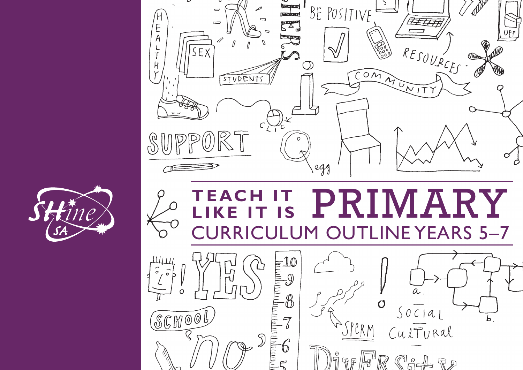



## **T E AC H I T**  MARY PRT **LIKE IT IS**RRICULUM OUTLINE YEARS 5-7

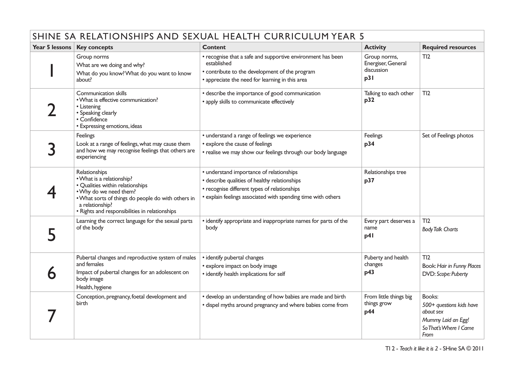| SHINE SA RELATIONSHIPS AND SEXUAL HEALTH CURRICULUM YEAR 5 |                                                                                                                                                                                                                                     |                                                                                                                                                                                                           |                                                         |                                                                                                         |  |
|------------------------------------------------------------|-------------------------------------------------------------------------------------------------------------------------------------------------------------------------------------------------------------------------------------|-----------------------------------------------------------------------------------------------------------------------------------------------------------------------------------------------------------|---------------------------------------------------------|---------------------------------------------------------------------------------------------------------|--|
| Year 5 lessons                                             | <b>Key concepts</b>                                                                                                                                                                                                                 | <b>Content</b>                                                                                                                                                                                            | <b>Activity</b>                                         | <b>Required resources</b>                                                                               |  |
|                                                            | Group norms<br>What are we doing and why?<br>What do you know? What do you want to know<br>about?                                                                                                                                   | • recognise that a safe and supportive environment has been<br>established<br>• contribute to the development of the program<br>• appreciate the need for learning in this area                           | Group norms,<br>Energiser, General<br>discussion<br>p31 | TI2                                                                                                     |  |
|                                                            | Communication skills<br>. What is effective communication?<br>• Listening<br>• Speaking clearly<br>• Confidence<br>• Expressing emotions, ideas                                                                                     | • describe the importance of good communication<br>• apply skills to communicate effectively                                                                                                              | Talking to each other<br>p32                            | TI2                                                                                                     |  |
|                                                            | Feelings<br>Look at a range of feelings, what may cause them<br>and how we may recognise feelings that others are<br>experiencing                                                                                                   | • understand a range of feelings we experience<br>• explore the cause of feelings<br>• realise we may show our feelings through our body language                                                         | Feelings<br>p34                                         | Set of Feelings photos                                                                                  |  |
|                                                            | Relationships<br>• What is a relationship?<br>· Qualities within relationships<br>. Why do we need them?<br>. What sorts of things do people do with others in<br>a relationship?<br>• Rights and responsibilities in relationships | • understand importance of relationships<br>• describe qualities of healthy relationships<br>• recognise different types of relationships<br>• explain feelings associated with spending time with others | Relationships tree<br>p37                               |                                                                                                         |  |
|                                                            | Learning the correct language for the sexual parts<br>of the body                                                                                                                                                                   | • identify appropriate and inappropriate names for parts of the<br>body                                                                                                                                   | Every part deserves a<br>name<br>p41                    | TI2<br><b>Body Talk Charts</b>                                                                          |  |
|                                                            | Pubertal changes and reproductive system of males<br>and females<br>Impact of pubertal changes for an adolescent on<br>body image<br>Health, hygiene                                                                                | • identify pubertal changes<br>• explore impact on body image<br>• identify health implications for self                                                                                                  | Puberty and health<br>changes<br>p43                    | TI2<br>Book: Hair in Funny Places<br>DVD: Scope: Puberty                                                |  |
|                                                            | Conception, pregnancy, foetal development and<br>birth                                                                                                                                                                              | • develop an understanding of how babies are made and birth<br>• dispel myths around pregnancy and where babies come from                                                                                 | From little things big<br>things grow<br>p44            | Books:<br>500+ questions kids have<br>about sex<br>Mummy Laid an Egg!<br>So That's Where I Came<br>From |  |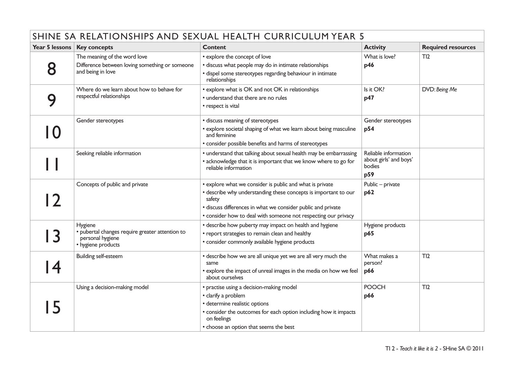| SHINE SA RELATIONSHIPS AND SEXUAL HEALTH CURRICULUM YEAR 5 |                                                                                                      |                                                                                                                                                                                                                                                                         |                                                                 |                           |  |
|------------------------------------------------------------|------------------------------------------------------------------------------------------------------|-------------------------------------------------------------------------------------------------------------------------------------------------------------------------------------------------------------------------------------------------------------------------|-----------------------------------------------------------------|---------------------------|--|
| Year 5 lessons                                             | <b>Key concepts</b>                                                                                  | <b>Content</b>                                                                                                                                                                                                                                                          | <b>Activity</b>                                                 | <b>Required resources</b> |  |
| 8                                                          | The meaning of the word love<br>Difference between loving something or someone<br>and being in love  | • explore the concept of love<br>· discuss what people may do in intimate relationships<br>· dispel some stereotypes regarding behaviour in intimate<br>relationships                                                                                                   | What is love?<br>p46                                            | TI2                       |  |
| 9                                                          | Where do we learn about how to behave for<br>respectful relationships                                | • explore what is OK and not OK in relationships<br>• understand that there are no rules<br>• respect is vital                                                                                                                                                          | Is it OK?<br>p47                                                | DVD: Being Me             |  |
| $\Omega$                                                   | Gender stereotypes                                                                                   | • discuss meaning of stereotypes<br>• explore societal shaping of what we learn about being masculine<br>and feminine<br>• consider possible benefits and harms of stereotypes                                                                                          | Gender stereotypes<br>p54                                       |                           |  |
|                                                            | Seeking reliable information                                                                         | • understand that talking about sexual health may be embarrassing<br>• acknowledge that it is important that we know where to go for<br>reliable information                                                                                                            | Reliable information<br>about girls' and boys'<br>bodies<br>p59 |                           |  |
| $\mathbf{2}$                                               | Concepts of public and private                                                                       | • explore what we consider is public and what is private<br>• describe why understanding these concepts is important to our<br>safety<br>· discuss differences in what we consider public and private<br>• consider how to deal with someone not respecting our privacy | Public - private<br>p62                                         |                           |  |
| 3                                                          | Hygiene<br>· pubertal changes require greater attention to<br>personal hygiene<br>• hygiene products | • describe how puberty may impact on health and hygiene<br>• report strategies to remain clean and healthy<br>· consider commonly available hygiene products                                                                                                            | Hygiene products<br>p65                                         |                           |  |
| $\overline{\bf 4}$                                         | <b>Building self-esteem</b>                                                                          | • describe how we are all unique yet we are all very much the<br>same<br>• explore the impact of unreal images in the media on how we feel<br>about ourselves                                                                                                           | What makes a<br>person?<br>p66                                  | TI2                       |  |
| 5                                                          | Using a decision-making model                                                                        | · practise using a decision-making model<br>• clarify a problem<br>· determine realistic options<br>• consider the outcomes for each option including how it impacts<br>on feelings<br>• choose an option that seems the best                                           | <b>POOCH</b><br>p66                                             | TI2                       |  |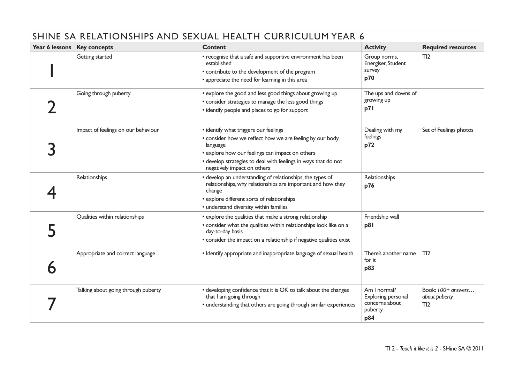| SHINE SA RELATIONSHIPS AND SEXUAL HEALTH CURRICULUM YEAR 6 |                                     |                                                                                                                                                                                                                                                                   |                                                                        |                                            |
|------------------------------------------------------------|-------------------------------------|-------------------------------------------------------------------------------------------------------------------------------------------------------------------------------------------------------------------------------------------------------------------|------------------------------------------------------------------------|--------------------------------------------|
| Year 6 lessons                                             | <b>Key concepts</b>                 | <b>Content</b>                                                                                                                                                                                                                                                    | <b>Activity</b>                                                        | <b>Required resources</b>                  |
|                                                            | Getting started                     | • recognise that a safe and supportive environment has been<br>established<br>• contribute to the development of the program<br>• appreciate the need for learning in this area                                                                                   | Group norms,<br>Energiser, Student<br>survey<br>p70                    | TI2                                        |
|                                                            | Going through puberty               | • explore the good and less good things about growing up<br>• consider strategies to manage the less good things<br>• identify people and places to go for support                                                                                                | The ups and downs of<br>growing up<br>p71                              |                                            |
|                                                            | Impact of feelings on our behaviour | • identify what triggers our feelings<br>• consider how we reflect how we are feeling by our body<br>language<br>• explore how our feelings can impact on others<br>• develop strategies to deal with feelings in ways that do not<br>negatively impact on others | Dealing with my<br>feelings<br>p72                                     | Set of Feelings photos                     |
|                                                            | Relationships                       | • develop an understanding of relationships, the types of<br>relationships, why relationships are important and how they<br>change<br>• explore different sorts of relationships<br>• understand diversity within families                                        | Relationships<br>p76                                                   |                                            |
|                                                            | Qualities within relationships      | • explore the qualities that make a strong relationship<br>• consider what the qualities within relationships look like on a<br>day-to-day basis<br>• consider the impact on a relationship if negative qualities exist                                           | Friendship wall<br>p81                                                 |                                            |
|                                                            | Appropriate and correct language    | • Identify appropriate and inappropriate language of sexual health                                                                                                                                                                                                | There's another name<br>for it<br>p83                                  | TI2                                        |
|                                                            | Talking about going through puberty | • developing confidence that it is OK to talk about the changes<br>that I am going through<br>• understanding that others are going through similar experiences                                                                                                   | Am I normal?<br>Exploring personal<br>concerns about<br>puberty<br>p84 | Book: 100+ answers<br>about puberty<br>TI2 |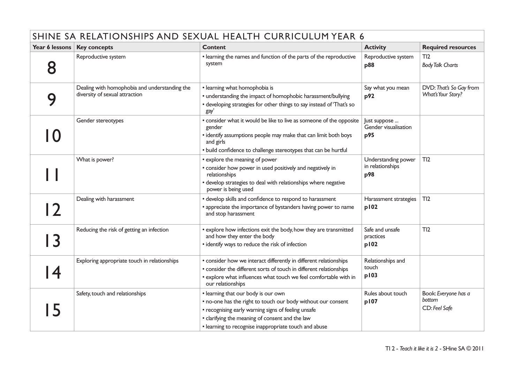| SHINE SA RELATIONSHIPS AND SEXUAL HEALTH CURRICULUM YEAR 6 |                                                                                 |                                                                                                                                                                                                                                                                        |                                                |                                                 |  |
|------------------------------------------------------------|---------------------------------------------------------------------------------|------------------------------------------------------------------------------------------------------------------------------------------------------------------------------------------------------------------------------------------------------------------------|------------------------------------------------|-------------------------------------------------|--|
| Year 6 lessons                                             | <b>Key concepts</b>                                                             | <b>Content</b>                                                                                                                                                                                                                                                         | <b>Activity</b>                                | <b>Required resources</b>                       |  |
| 8                                                          | Reproductive system                                                             | • learning the names and function of the parts of the reproductive<br>system                                                                                                                                                                                           | Reproductive system<br>p88                     | TI2<br><b>Body Talk Charts</b>                  |  |
| q                                                          | Dealing with homophobia and understanding the<br>diversity of sexual attraction | • learning what homophobia is<br>• understanding the impact of homophobic harassment/bullying<br>• developing strategies for other things to say instead of 'That's so<br>gay'                                                                                         | Say what you mean<br>p92                       | DVD: That's So Gay from<br>What's Your Story?   |  |
|                                                            | Gender stereotypes                                                              | • consider what it would be like to live as someone of the opposite<br>gender<br>• identify assumptions people may make that can limit both boys<br>and girls<br>• build confidence to challenge stereotypes that can be hurtful                                       | Just suppose<br>Gender visualisation<br>p95    |                                                 |  |
|                                                            | What is power?                                                                  | • explore the meaning of power<br>• consider how power in used positively and negatively in<br>relationships<br>• develop strategies to deal with relationships where negative<br>power is being used                                                                  | Understanding power<br>in relationships<br>p98 | TI2                                             |  |
| $\overline{\mathbf{2}}$                                    | Dealing with harassment                                                         | • develop skills and confidence to respond to harassment<br>• appreciate the importance of bystanders having power to name<br>and stop harassment                                                                                                                      | Harassment strategies<br>p102                  | TI2                                             |  |
| $\overline{\mathbf{3}}$                                    | Reducing the risk of getting an infection                                       | · explore how infections exit the body, how they are transmitted<br>and how they enter the body<br>• identify ways to reduce the risk of infection                                                                                                                     | Safe and unsafe<br>practices<br>p102           | TI2                                             |  |
| $\overline{\bf 4}$                                         | Exploring appropriate touch in relationships                                    | • consider how we interact differently in different relationships<br>• consider the different sorts of touch in different relationships<br>• explore what influences what touch we feel comfortable with in<br>our relationships                                       | Relationships and<br>touch<br>p103             |                                                 |  |
| 5                                                          | Safety, touch and relationships                                                 | • learning that our body is our own<br>• no-one has the right to touch our body without our consent<br>• recognising early warning signs of feeling unsafe<br>• clarifying the meaning of consent and the law<br>• learning to recognise inappropriate touch and abuse | Rules about touch<br>p107                      | Book: Everyone has a<br>bottom<br>CD: Feel Safe |  |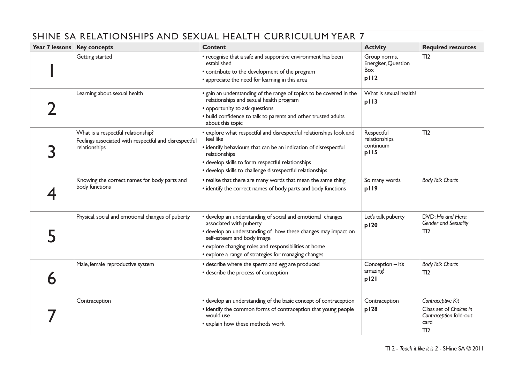| SHINE SA RELATIONSHIPS AND SEXUAL HEALTH CURRICULUM YEAR 7 |                                                                                                              |                                                                                                                                                                                                                                                                                                       |                                                           |                                                                                       |  |
|------------------------------------------------------------|--------------------------------------------------------------------------------------------------------------|-------------------------------------------------------------------------------------------------------------------------------------------------------------------------------------------------------------------------------------------------------------------------------------------------------|-----------------------------------------------------------|---------------------------------------------------------------------------------------|--|
| Year 7 lessons                                             | <b>Key concepts</b>                                                                                          | <b>Content</b>                                                                                                                                                                                                                                                                                        | <b>Activity</b>                                           | <b>Required resources</b>                                                             |  |
|                                                            | Getting started                                                                                              | • recognise that a safe and supportive environment has been<br>established<br>• contribute to the development of the program<br>• appreciate the need for learning in this area                                                                                                                       | Group norms,<br>Energiser, Question<br><b>Box</b><br>p112 | TI2                                                                                   |  |
|                                                            | Learning about sexual health                                                                                 | • gain an understanding of the range of topics to be covered in the<br>relationships and sexual health program<br>• opportunity to ask questions<br>• build confidence to talk to parents and other trusted adults<br>about this topic                                                                | What is sexual health?<br>p113                            |                                                                                       |  |
|                                                            | What is a respectful relationship?<br>Feelings associated with respectful and disrespectful<br>relationships | • explore what respectful and disrespectful relationships look and<br>feel like<br>• identify behaviours that can be an indication of disrespectful<br>relationships<br>· develop skills to form respectful relationships<br>· develop skills to challenge disrespectful relationships                | Respectful<br>relationships<br>continuum<br>p115          | TI2                                                                                   |  |
|                                                            | Knowing the correct names for body parts and<br>body functions                                               | • realise that there are many words that mean the same thing<br>• identify the correct names of body parts and body functions                                                                                                                                                                         | So many words<br>p119                                     | <b>Body Talk Charts</b>                                                               |  |
|                                                            | Physical, social and emotional changes of puberty                                                            | • develop an understanding of social and emotional changes<br>associated with puberty<br>• develop an understanding of how these changes may impact on<br>self-esteem and body image<br>• explore changing roles and responsibilities at home<br>• explore a range of strategies for managing changes | Let's talk puberty<br>p120                                | DVD: His and Hers:<br>Gender and Sexuality<br>TI2                                     |  |
|                                                            | Male, female reproductive system                                                                             | • describe where the sperm and egg are produced<br>• describe the process of conception                                                                                                                                                                                                               | Conception - it's<br>amazing!<br>p121                     | <b>Body Talk Charts</b><br>TI2                                                        |  |
|                                                            | Contraception                                                                                                | • develop an understanding of the basic concept of contraception<br>• identify the common forms of contraception that young people<br>would use<br>• explain how these methods work                                                                                                                   | Contraception<br>p128                                     | Contraceptive Kit<br>Class set of Choices in<br>Contraception fold-out<br>card<br>TI2 |  |